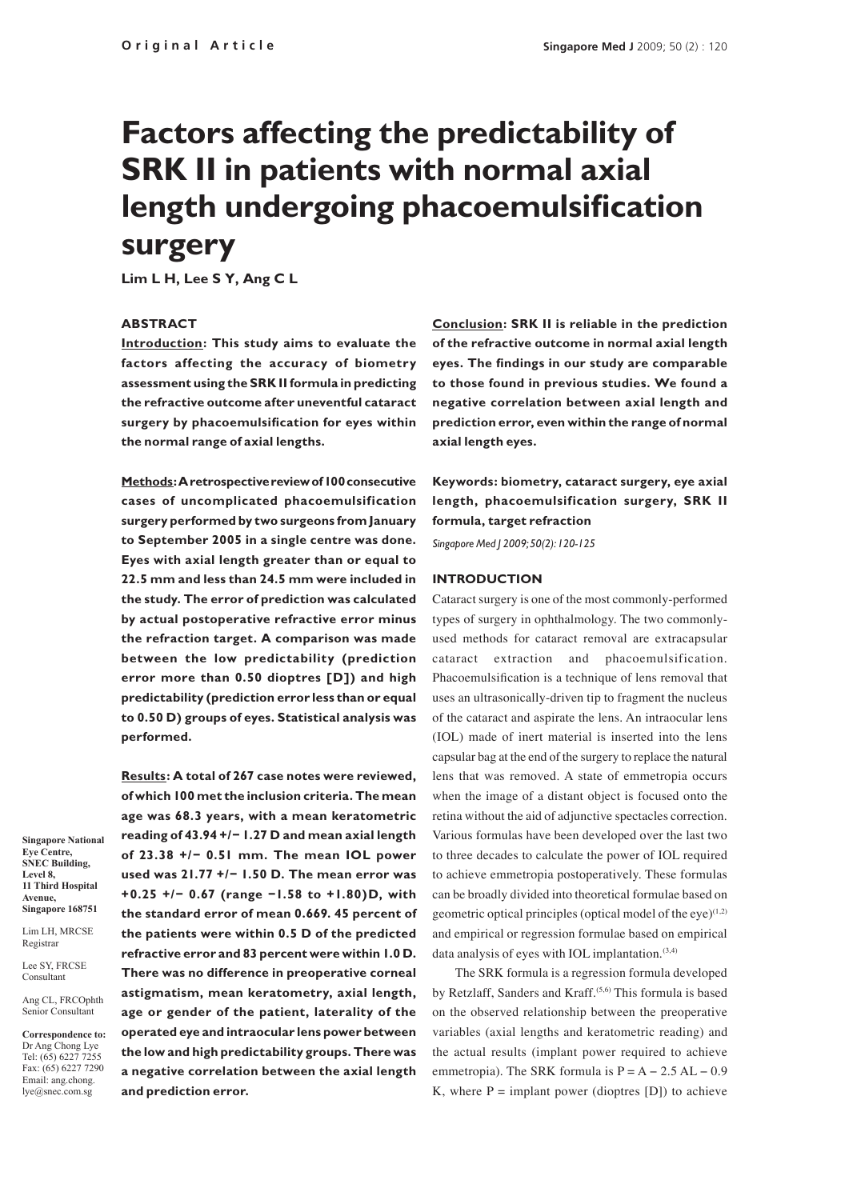# **Factors affecting the predictability of SRK II in patients with normal axial length undergoing phacoemulsification surgery**

**Lim L H, Lee S Y, Ang C L**

## **ABSTRACT**

**Introduction: This study aims to evaluate the factors affecting the accuracy of biometry assessment using the SRK II formula in predicting the refractive outcome after uneventful cataract surgery by phacoemulsification for eyes within the normal range of axial lengths.**

**Methods: A retrospective review of 100 consecutive cases of uncomplicated phacoemulsification surgery performed by two surgeons from January to September 2005 in a single centre was done. Eyes with axial length greater than or equal to 22.5 mm and less than 24.5 mm were included in the study. The error of prediction was calculated by actual postoperative refractive error minus the refraction target. A comparison was made between the low predictability (prediction error more than 0.50 dioptres [D]) and high predictability (prediction error less than or equal to 0.50 D) groups of eyes. Statistical analysis was performed.** 

**Results: A total of 267 case notes were reviewed, of which 100 met the inclusion criteria. The mean age was 68.3 years, with a mean keratometric reading of 43.94 +/− 1.27 D and mean axial length of 23.38 +/− 0.51 mm. The mean IOL power used was 21.77 +/− 1.50 D. The mean error was +0.25 +/− 0.67 (range −1.58 to +1.80)D, with the standard error of mean 0.669. 45 percent of the patients were within 0.5 D of the predicted refractive error and 83 percent were within 1.0 D. There was no difference in preoperative corneal astigmatism, mean keratometry, axial length, age or gender of the patient, laterality of the operated eye and intraocular lens power between the low and high predictability groups. There was a negative correlation between the axial length and prediction error.** 

**Conclusion: SRK II is reliable in the prediction of the refractive outcome in normal axial length eyes. The findings in our study are comparable to those found in previous studies. We found a negative correlation between axial length and prediction error, even within the range of normal axial length eyes.**

**Keywords: biometry, cataract surgery, eye axial length, phacoemulsification surgery, SRK II formula, target refraction**

*Singapore Med J 2009; 50(2): 120-125*

#### **Introduction**

Cataract surgery is one of the most commonly-performed types of surgery in ophthalmology. The two commonlyused methods for cataract removal are extracapsular cataract extraction and phacoemulsification. Phacoemulsification is a technique of lens removal that uses an ultrasonically-driven tip to fragment the nucleus of the cataract and aspirate the lens. An intraocular lens (IOL) made of inert material is inserted into the lens capsular bag at the end of the surgery to replace the natural lens that was removed. A state of emmetropia occurs when the image of a distant object is focused onto the retina without the aid of adjunctive spectacles correction. Various formulas have been developed over the last two to three decades to calculate the power of IOL required to achieve emmetropia postoperatively. These formulas can be broadly divided into theoretical formulae based on geometric optical principles (optical model of the eye) $(1,2)$ and empirical or regression formulae based on empirical data analysis of eyes with IOL implantation.<sup>(3,4)</sup>

The SRK formula is a regression formula developed by Retzlaff, Sanders and Kraff.(5,6) This formula is based on the observed relationship between the preoperative variables (axial lengths and keratometric reading) and the actual results (implant power required to achieve emmetropia). The SRK formula is  $P = A - 2.5 AL - 0.9$ K, where  $P =$  implant power (dioptres [D]) to achieve

**Singapore National Eye Centre, SNEC Building, Level 8, 11 Third Hospital Avenue, Singapore 168751**

Lim LH, MRCSE Registrar

Lee SY, FRCSE Consultant

Ang CL, FRCOphth Senior Consultant

**Correspondence to:** Dr Ang Chong Lye Tel: (65) 6227 7255 Fax: (65) 6227 7290 Email: ang.chong. lye@snec.com.sg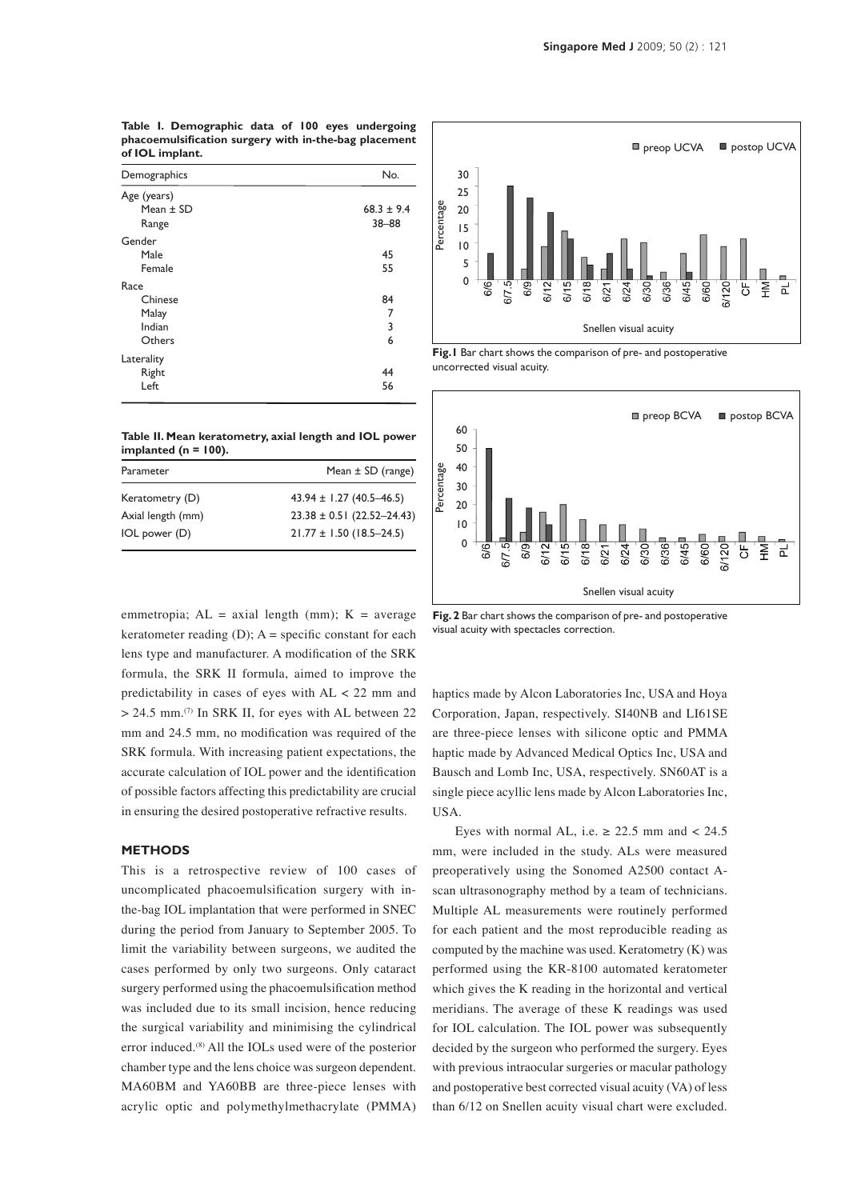| phacoemulsification surgery with in-the-bag placement<br>of IOL implant. |              |  |
|--------------------------------------------------------------------------|--------------|--|
| Demographics                                                             | No.          |  |
| Age (years)                                                              |              |  |
| Mean $+$ SD                                                              | $68.3 + 9.4$ |  |
| Range                                                                    | $38 - 88$    |  |
| Gender                                                                   |              |  |
| Male                                                                     | 45           |  |
| Female                                                                   | 55           |  |

Chinese 84 Malay 7 Indian 3 Others 6

Right **Advisors** 2008 **Advisors** 2008 **Advisors** 2008 **Advisors** 2008  $Left$  56

**Table I. Demographic data of 100 eyes undergoing phacoemulsification surgery with in-the-bag placement** 

| implanted ( $n = 100$ ). | Table II. Mean keratometry, axial length and IOL power |
|--------------------------|--------------------------------------------------------|
| Parameter                | Mean $\pm$ SD (range)                                  |

|                   | $1$ Real $20$ (range)          |
|-------------------|--------------------------------|
| Keratometry (D)   | $43.94 \pm 1.27$ (40.5-46.5)   |
| Axial length (mm) | $23.38 \pm 0.51$ (22.52-24.43) |
| IOL power (D)     | $21.77 \pm 1.50$ (18.5-24.5)   |
|                   |                                |

emmetropia;  $AL = axial length (mm); K = average$ keratometer reading  $(D)$ ; A = specific constant for each lens type and manufacturer. A modification of the SRK formula, the SRK II formula, aimed to improve the predictability in cases of eyes with AL < 22 mm and  $> 24.5$  mm.<sup>(7)</sup> In SRK II, for eyes with AL between 22 mm and 24.5 mm, no modification was required of the SRK formula. With increasing patient expectations, the accurate calculation of IOL power and the identification of possible factors affecting this predictability are crucial in ensuring the desired postoperative refractive results.

#### **Methods**

Race

Laterality

This is a retrospective review of 100 cases of uncomplicated phacoemulsification surgery with inthe-bag IOL implantation that were performed in SNEC during the period from January to September 2005. To limit the variability between surgeons, we audited the cases performed by only two surgeons. Only cataract surgery performed using the phacoemulsification method was included due to its small incision, hence reducing the surgical variability and minimising the cylindrical error induced.(8) All the IOLs used were of the posterior chamber type and the lens choice was surgeon dependent. MA60BM and YA60BB are three-piece lenses with acrylic optic and polymethylmethacrylate (PMMA)



**Fig.1** Bar chart shows the comparison of pre- and postoperative uncorrected visual acuity.



**Fig. 2** Bar chart shows the comparison of pre- and postoperative visual acuity with spectacles correction.

haptics made by Alcon Laboratories Inc, USA and Hoya Corporation, Japan, respectively. SI40NB and LI61SE are three-piece lenses with silicone optic and PMMA haptic made by Advanced Medical Optics Inc, USA and Bausch and Lomb Inc, USA, respectively. SN60AT is a single piece acyllic lens made by Alcon Laboratories Inc, USA.

Eyes with normal AL, i.e.  $\geq 22.5$  mm and < 24.5 mm, were included in the study. ALs were measured preoperatively using the Sonomed A2500 contact Ascan ultrasonography method by a team of technicians. Multiple AL measurements were routinely performed for each patient and the most reproducible reading as computed by the machine was used. Keratometry (K) was performed using the KR-8100 automated keratometer which gives the K reading in the horizontal and vertical meridians. The average of these K readings was used for IOL calculation. The IOL power was subsequently decided by the surgeon who performed the surgery. Eyes with previous intraocular surgeries or macular pathology and postoperative best corrected visual acuity (VA) of less **Example 19 on Snellen visual chart were extending the same of the same of the same of the same of the same of the same of the same of the same of the same of the same of the same of the same of the same of the same of th**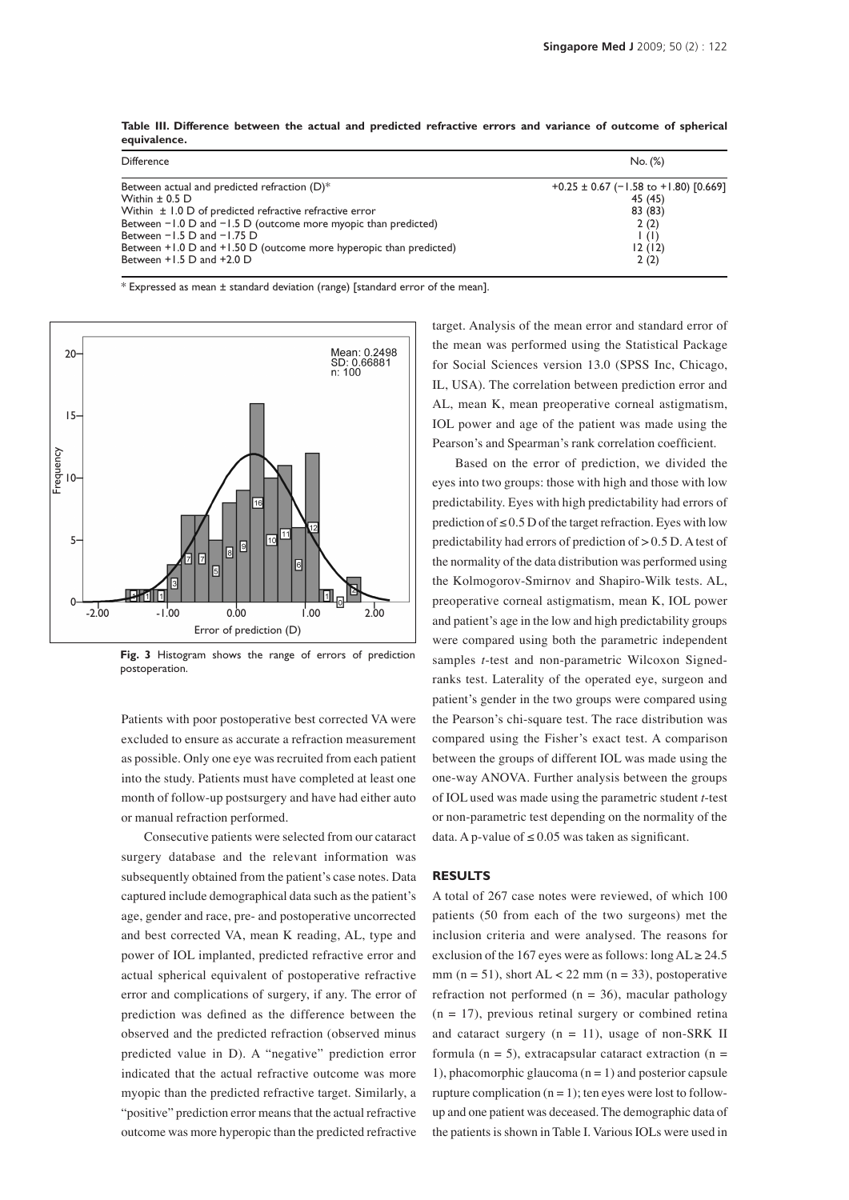| Difference                                                         | No. (%)                                   |
|--------------------------------------------------------------------|-------------------------------------------|
| Between actual and predicted refraction (D)*                       | $+0.25 \pm 0.67$ (-1.58 to +1.80) [0.669] |
| Within $\pm$ 0.5 D                                                 | 45 (45)                                   |
| Within $\pm$ 1.0 D of predicted refractive refractive error        | 83 (83)                                   |
| Between $-1.0$ D and $-1.5$ D (outcome more myopic than predicted) | 2(2)                                      |
| Between $-1.5$ D and $-1.75$ D                                     | $\vert$ (1)                               |
| Between +1.0 D and +1.50 D (outcome more hyperopic than predicted) | 12(12)                                    |
| Between $+1.5$ D and $+2.0$ D                                      | 2(2)                                      |

**Table III. Difference between the actual and predicted refractive errors and variance of outcome of spherical equivalence.**

\* Expressed as mean ± standard deviation (range) [standard error of the mean].



**Fig. 3** Histogram shows the range of errors of prediction postoperation.

Patients with poor postoperative best corrected VA were excluded to ensure as accurate a refraction measurement as possible. Only one eye was recruited from each patient into the study. Patients must have completed at least one month of follow-up postsurgery and have had either auto or manual refraction performed.

Consecutive patients were selected from our cataract surgery database and the relevant information was subsequently obtained from the patient's case notes. Data captured include demographical data such as the patient's age, gender and race, pre- and postoperative uncorrected and best corrected VA, mean K reading, AL, type and power of IOL implanted, predicted refractive error and actual spherical equivalent of postoperative refractive error and complications of surgery, if any. The error of prediction was defined as the difference between the observed and the predicted refraction (observed minus predicted value in D). A "negative" prediction error indicated that the actual refractive outcome was more myopic than the predicted refractive target. Similarly, a "positive" prediction error means that the actual refractive outcome was more hyperopic than the predicted refractive target. Analysis of the mean error and standard error of the mean was performed using the Statistical Package for Social Sciences version 13.0 (SPSS Inc, Chicago, IL, USA). The correlation between prediction error and AL, mean K, mean preoperative corneal astigmatism, IOL power and age of the patient was made using the Pearson's and Spearman's rank correlation coefficient.

Based on the error of prediction, we divided the eyes into two groups: those with high and those with low predictability. Eyes with high predictability had errors of prediction of  $\leq 0.5$  D of the target refraction. Eyes with low predictability had errors of prediction of > 0.5 D. A test of the normality of the data distribution was performed using the Kolmogorov-Smirnov and Shapiro-Wilk tests. AL, preoperative corneal astigmatism, mean K, IOL power and patient's age in the low and high predictability groups were compared using both the parametric independent samples *t*-test and non-parametric Wilcoxon Signedranks test. Laterality of the operated eye, surgeon and patient's gender in the two groups were compared using the Pearson's chi-square test. The race distribution was compared using the Fisher's exact test. A comparison between the groups of different IOL was made using the one-way ANOVA. Further analysis between the groups of IOL used was made using the parametric student *t*-test or non-parametric test depending on the normality of the data. A p-value of  $\leq 0.05$  was taken as significant.

#### **Results**

A total of 267 case notes were reviewed, of which 100 patients (50 from each of the two surgeons) met the inclusion criteria and were analysed. The reasons for exclusion of the 167 eyes were as follows: long  $AL \ge 24.5$ mm ( $n = 51$ ), short AL < 22 mm ( $n = 33$ ), postoperative refraction not performed ( $n = 36$ ), macular pathology  $(n = 17)$ , previous retinal surgery or combined retina and cataract surgery  $(n = 11)$ , usage of non-SRK II formula ( $n = 5$ ), extracapsular cataract extraction ( $n =$ 1), phacomorphic glaucoma  $(n = 1)$  and posterior capsule rupture complication  $(n = 1)$ ; ten eyes were lost to followup and one patient was deceased. The demographic data of the patients is shown in Table I. Various IOLs were used in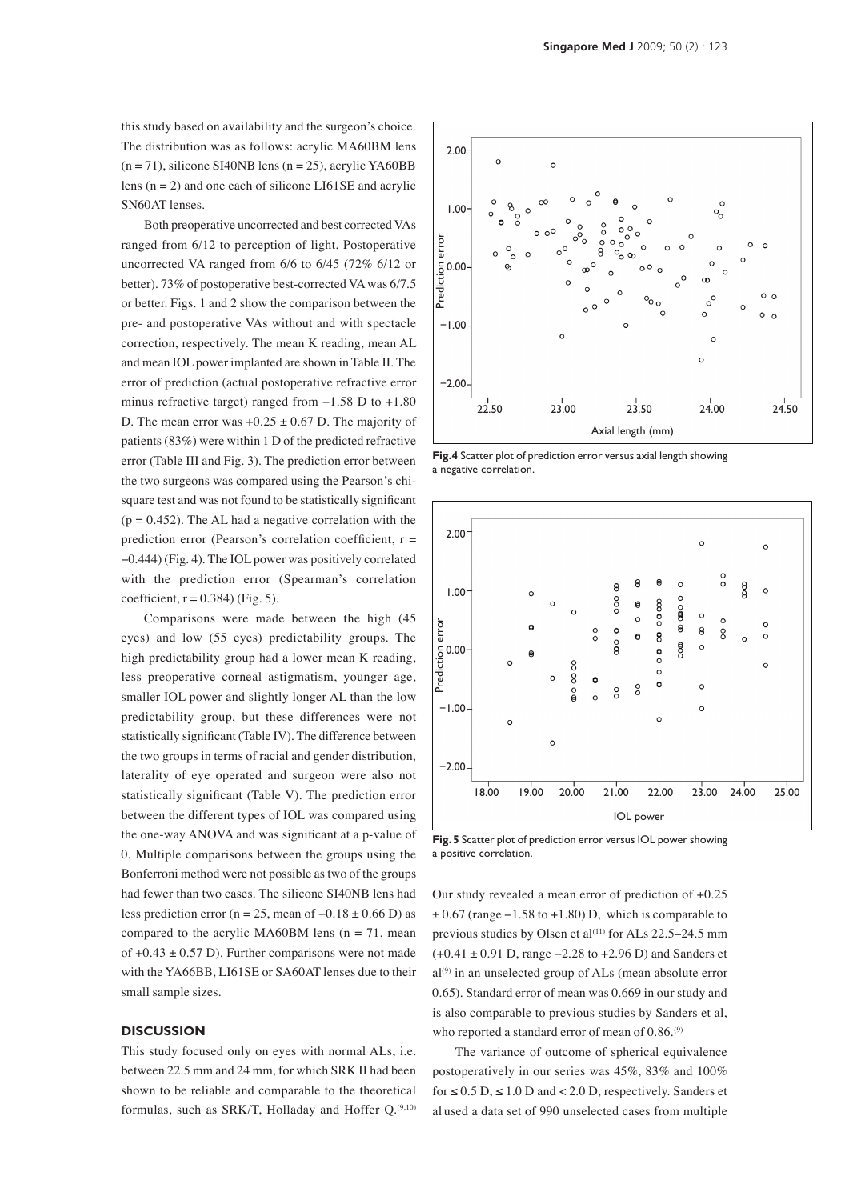this study based on availability and the surgeon's choice. The distribution was as follows: acrylic MA60BM lens  $(n = 71)$ , silicone SI40NB lens  $(n = 25)$ , acrylic YA60BB lens  $(n = 2)$  and one each of silicone LI61SE and acrylic SN60AT lenses.

Both preoperative uncorrected and best corrected VAs ranged from 6/12 to perception of light. Postoperative uncorrected VA ranged from 6/6 to 6/45 (72% 6/12 or better). 73% of postoperative best-corrected VA was 6/7.5 or better. Figs. 1 and 2 show the comparison between the pre- and postoperative VAs without and with spectacle correction, respectively. The mean K reading, mean AL and mean IOL power implanted are shown in Table II. The error of prediction (actual postoperative refractive error minus refractive target) ranged from −1.58 D to +1.80 D. The mean error was  $+0.25 \pm 0.67$  D. The majority of patients (83%) were within 1 D of the predicted refractive error (Table III and Fig. 3). The prediction error between the two surgeons was compared using the Pearson's chisquare test and was not found to be statistically significant  $(p = 0.452)$ . The AL had a negative correlation with the prediction error (Pearson's correlation coefficient,  $r =$ −0.444) (Fig. 4). The IOL power was positively correlated with the prediction error (Spearman's correlation coefficient,  $r = 0.384$ ) (Fig. 5).

Comparisons were made between the high (45 eyes) and low (55 eyes) predictability groups. The high predictability group had a lower mean K reading, less preoperative corneal astigmatism, younger age, smaller IOL power and slightly longer AL than the low predictability group, but these differences were not statistically significant (Table IV). The difference between the two groups in terms of racial and gender distribution, laterality of eye operated and surgeon were also not statistically significant (Table V). The prediction error between the different types of IOL was compared using the one-way ANOVA and was significant at a p-value of 0. Multiple comparisons between the groups using the Bonferroni method were not possible as two of the groups had fewer than two cases. The silicone SI40NB lens had less prediction error (n = 25, mean of  $-0.18 \pm 0.66$  D) as compared to the acrylic MA60BM lens ( $n = 71$ , mean of  $+0.43 \pm 0.57$  D). Further comparisons were not made with the YA66BB, LI61SE or SA60AT lenses due to their small sample sizes.

#### **Discussion**

This study focused only on eyes with normal ALs, i.e. between 22.5 mm and 24 mm, for which SRK II had been shown to be reliable and comparable to the theoretical formulas, such as SRK/T, Holladay and Hoffer  $Q^{(9,10)}$ .



**Fig.4** Scatter plot of prediction error versus axial length showing a negative correlation.



**Fig. 5** Scatter plot of prediction error versus IOL power showing a positive correlation.

Our study revealed a mean error of prediction of +0.25  $\pm$  0.67 (range –1.58 to +1.80) D, which is comparable to previous studies by Olsen et al<sup>(11)</sup> for ALs 22.5–24.5 mm (+0.41 ± 0.91 D, range −2.28 to +2.96 D) and Sanders et al<sup>(9)</sup> in an unselected group of ALs (mean absolute error 0.65). Standard error of mean was 0.669 in our study and is also comparable to previous studies by Sanders et al, who reported a standard error of mean of  $0.86$ .<sup>(9)</sup>

The variance of outcome of spherical equivalence postoperatively in our series was 45%, 83% and 100% for  $\leq 0.5$  D,  $\leq 1.0$  D and  $< 2.0$  D, respectively. Sanders et al used a data set of 990 unselected cases from multiple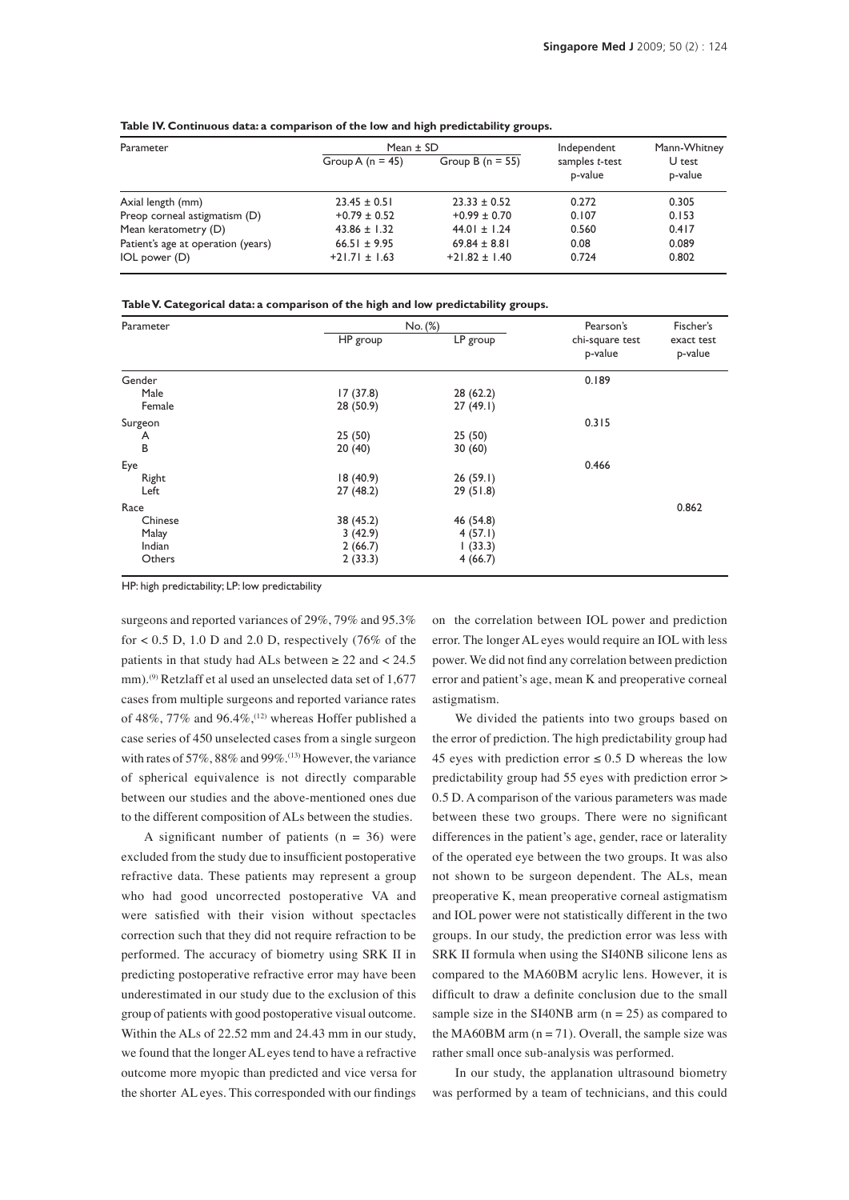| Parameter                          | Mean $\pm$ SD      |                      | Independent               | Mann-Whitney      |  |
|------------------------------------|--------------------|----------------------|---------------------------|-------------------|--|
|                                    | Group A $(n = 45)$ | Group B ( $n = 55$ ) | samples t-test<br>p-value | U test<br>p-value |  |
| Axial length (mm)                  | $23.45 \pm 0.51$   | $23.33 \pm 0.52$     | 0.272                     | 0.305             |  |
| Preop corneal astigmatism (D)      | $+0.79 \pm 0.52$   | $+0.99 \pm 0.70$     | 0.107                     | 0.153             |  |
| Mean keratometry (D)               | $43.86 \pm 1.32$   | $44.01 \pm 1.24$     | 0.560                     | 0.417             |  |
| Patient's age at operation (years) | $66.51 \pm 9.95$   | $69.84 \pm 8.81$     | 0.08                      | 0.089             |  |
| IOL power (D)                      | $+21.71 \pm 1.63$  | $+21.82 \pm 1.40$    | 0.724                     | 0.802             |  |

**Table IV. Continuous data: a comparison of the low and high predictability groups.**

| Table V. Categorical data: a comparison of the high and low predictability groups. |  |  |  |
|------------------------------------------------------------------------------------|--|--|--|
|                                                                                    |  |  |  |

| Parameter |           | No. (%)   |                            | Fischer's             |
|-----------|-----------|-----------|----------------------------|-----------------------|
|           | HP group  | LP group  | chi-square test<br>p-value | exact test<br>p-value |
| Gender    |           |           | 0.189                      |                       |
| Male      | 17(37.8)  | 28(62.2)  |                            |                       |
| Female    | 28 (50.9) | 27(49.1)  |                            |                       |
| Surgeon   |           |           | 0.315                      |                       |
| A         | 25(50)    | 25(50)    |                            |                       |
| B         | 20(40)    | 30(60)    |                            |                       |
| Eye       |           |           | 0.466                      |                       |
| Right     | 18(40.9)  | 26(59.1)  |                            |                       |
| Left      | 27(48.2)  | 29(51.8)  |                            |                       |
| Race      |           |           |                            | 0.862                 |
| Chinese   | 38 (45.2) | 46 (54.8) |                            |                       |
| Malay     | 3(42.9)   | 4(57.1)   |                            |                       |
| Indian    | 2(66.7)   | (33.3)    |                            |                       |
| Others    | 2(33.3)   | 4(66.7)   |                            |                       |

HP: high predictability; LP: low predictability

surgeons and reported variances of 29%, 79% and 95.3% for  $< 0.5$  D, 1.0 D and 2.0 D, respectively (76% of the patients in that study had ALs between  $\geq 22$  and  $\lt 24.5$ mm).<sup>(9)</sup> Retzlaff et al used an unselected data set of 1,677 cases from multiple surgeons and reported variance rates of 48%, 77% and 96.4%,(12) whereas Hoffer published a case series of 450 unselected cases from a single surgeon with rates of 57%, 88% and 99%.<sup>(13)</sup> However, the variance of spherical equivalence is not directly comparable between our studies and the above-mentioned ones due to the different composition of ALs between the studies.

A significant number of patients  $(n = 36)$  were excluded from the study due to insufficient postoperative refractive data. These patients may represent a group who had good uncorrected postoperative VA and were satisfied with their vision without spectacles correction such that they did not require refraction to be performed. The accuracy of biometry using SRK II in predicting postoperative refractive error may have been underestimated in our study due to the exclusion of this group of patients with good postoperative visual outcome. Within the ALs of 22.52 mm and 24.43 mm in our study, we found that the longer AL eyes tend to have a refractive outcome more myopic than predicted and vice versa for the shorter AL eyes. This corresponded with our findings

on the correlation between IOL power and prediction error. The longer AL eyes would require an IOL with less power. We did not find any correlation between prediction error and patient's age, mean K and preoperative corneal astigmatism.

We divided the patients into two groups based on the error of prediction. The high predictability group had 45 eyes with prediction error  $\leq$  0.5 D whereas the low predictability group had 55 eyes with prediction error > 0.5 D. A comparison of the various parameters was made between these two groups. There were no significant differences in the patient's age, gender, race or laterality of the operated eye between the two groups. It was also not shown to be surgeon dependent. The ALs, mean preoperative K, mean preoperative corneal astigmatism and IOL power were not statistically different in the two groups. In our study, the prediction error was less with SRK II formula when using the SI40NB silicone lens as compared to the MA60BM acrylic lens. However, it is difficult to draw a definite conclusion due to the small sample size in the SI40NB arm  $(n = 25)$  as compared to the MA60BM arm  $(n = 71)$ . Overall, the sample size was rather small once sub-analysis was performed.

In our study, the applanation ultrasound biometry was performed by a team of technicians, and this could